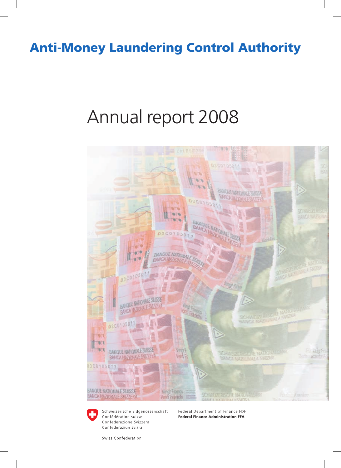### Anti-Money Laundering Control Authority

# Annual report 2008





Schweizerische Eidgenossenschaft Confédération suisse Confederazione Svizzera Confederaziun svizra

Federal Department of Finance FDF **Federal Finance Administration FFA** 

Swiss Confederation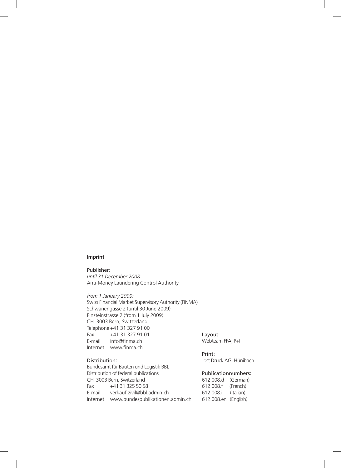#### **Imprint**

Publisher: *until 31 December 2008:* Anti-Money Laundering Control Authority

*from 1 January 2009:* Swiss Financial Market Supervisory Authority (FINMA) Schwanengasse 2 (until 30 June 2009) Einsteinstrasse 2 (from 1 July 2009) CH–3003 Bern, Switzerland Telephone +41 31 327 91 00 Fax +41 31 327 91 01 E-mail info@finma.ch Internet www.finma.ch

#### Distribution:

Bundesamt für Bauten und Logistik BBL Distribution of federal publications CH–3003 Bern, Switzerland Fax +41 31 325 50 58 E-mail verkauf.zivil@bbl.admin.ch Internet www.bundespublikationen.admin.ch

#### Layout:

Webteam FFA, P+I

#### Print:

Jost Druck AG, Hünibach

#### Publicationnumbers:

612.008.d (German) 612.008.f (French) 612.008.i (Italian) 612.008.en (English)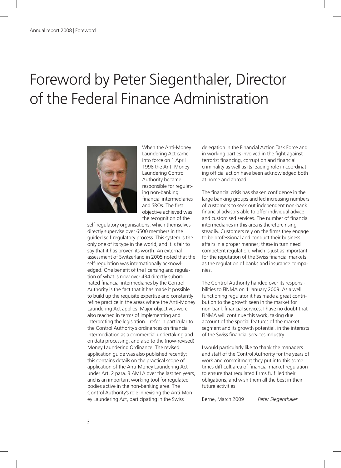## Foreword by Peter Siegenthaler, Director of the Federal Finance Administration



When the Anti-Money Laundering Act came into force on 1 April 1998 the Anti-Money Laundering Control Authority became responsible for regulating non-banking financial intermediaries and SROs. The first objective achieved was the recognition of the

self-regulatory organisations, which themselves directly supervise over 6500 members in the guided self-regulatory process. This system is the only one of its type in the world, and it is fair to say that it has proven its worth. An external assessment of Switzerland in 2005 noted that the self-regulation was internationally acknowledged. One benefit of the licensing and regulation of what is now over 434 directly subordinated financial intermediaries by the Control Authority is the fact that it has made it possible to build up the requisite expertise and constantly refine practice in the areas where the Anti-Money Laundering Act applies. Major objectives were also reached in terms of implementing and interpreting the legislation. I refer in particular to the Control Authority's ordinances on financial intermediation as a commercial undertaking and on data processing, and also to the (now-revised) Money Laundering Ordinance. The revised application guide was also published recently; this contains details on the practical scope of application of the Anti-Money Laundering Act under Art. 2 para. 3 AMLA over the last ten years, and is an important working tool for regulated bodies active in the non-banking area. The Control Authority's role in revising the Anti-Money Laundering Act, participating in the Swiss

delegation in the Financial Action Task Force and in working parties involved in the fight against terrorist financing, corruption and financial criminality as well as its leading role in coordinating official action have been acknowledged both at home and abroad.

The financial crisis has shaken confidence in the large banking groups and led increasing numbers of customers to seek out independent non-bank financial advisors able to offer individual advice and customised services. The number of financial intermediaries in this area is therefore rising steadily. Customers rely on the firms they engage to be professional and conduct their business affairs in a proper manner; these in turn need competent regulation, which is just as important for the reputation of the Swiss financial markets as the regulation of banks and insurance companies.

The Control Authority handed over its responsibilities to FINMA on 1 January 2009. As a well functioning regulator it has made a great contribution to the growth seen in the market for non-bank financial services. I have no doubt that FINMA will continue this work, taking due account of the special features of the market segment and its growth potential, in the interests of the Swiss financial services industry.

I would particularly like to thank the managers and staff of the Control Authority for the years of work and commitment they put into this sometimes difficult area of financial market regulation to ensure that regulated firms fulfilled their obligations, and wish them all the best in their future activities.

Berne, March 2009 *Peter Siegenthaler*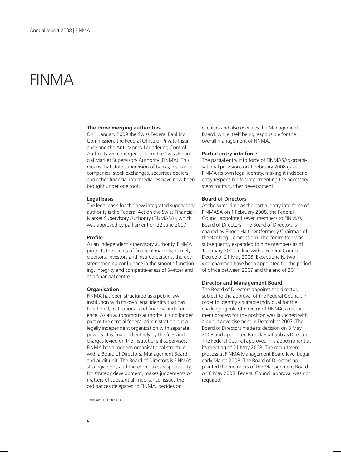### FINMA

#### **The three merging authorities**

On 1 January 2009 the Swiss Federal Banking Commission, the Federal Office of Private Insurance and the Anti-Money Laundering Control Authority were merged to form the Swiss Financial Market Supervisory Authority (FINMA). This means that state supervision of banks, insurance companies, stock exchanges, securities dealers and other financial intermediaries have now been brought under one roof.

#### **Legal basis**

The legal basis for the new integrated supervisory authority is the Federal Act on the Swiss Financial Market Supervisory Authority (FINMASA), which was approved by parliament on 22 June 2007.

#### **Profile**

As an independent supervisory authority, FINMA protects the clients of financial markets, namely creditors, investors and insured persons, thereby strengthening confidence in the smooth functioning, integrity and competitiveness of Switzerland as a financial centre.

#### **Organisation**

FINMA has been structured as a public law institution with its own legal identity that has functional, institutional and financial independence. As an autonomous authority it is no longer part of the central federal administration but a legally independent organisation with separate powers. It is financed entirely by the fees and charges levied on the institutions it supervises.<sup>1</sup> FINMA has a modern organisational structure with a Board of Directors, Management Board and audit unit. The Board of Directors is FINMA's strategic body and therefore takes responsibility for strategy development, makes judgements on matters of substantial importance, issues the ordinances delegated to FINMA, decides on

circulars and also oversees the Management Board, while itself being responsible for the overall management of FINMA.

#### **Partial entry into force**

The partial entry into force of FINMASA's organisational provisions on 1 February 2008 gave FINMA its own legal identity, making it independently responsible for implementing the necessary steps for its further development.

#### **Board of Directors**

At the same time as the partial entry into force of FINMASA on 1 February 2008, the Federal Council appointed seven members to FINMA's Board of Directors. The Board of Directors is chaired by Eugen Haltiner (formerly Chairman of the Banking Commission). The committee was subsequently expanded to nine members as of 1 January 2009 in line with a Federal Council Decree of 21 May 2008. Exceptionally, two vice-chairmen have been appointed for the period of office between 2009 and the end of 2011.

#### **Director and Management Board**

The Board of Directors appoints the director, subject to the approval of the Federal Council. In order to identify a suitable individual for the challenging role of director of FINMA, a recruitment process for the position was launched with a public advertisement in December 2007. The Board of Directors made its decision on 8 May 2008 and appointed Patrick Raaflaub as Director. The Federal Council approved this appointment at its meeting of 21 May 2008. The recruitment process at FINMA Management Board level began early March 2008. The Board of Directors appointed the members of the Management Board on 8 May 2008. Federal Council approval was not required.

<sup>1</sup> see Art. 15 FINMASA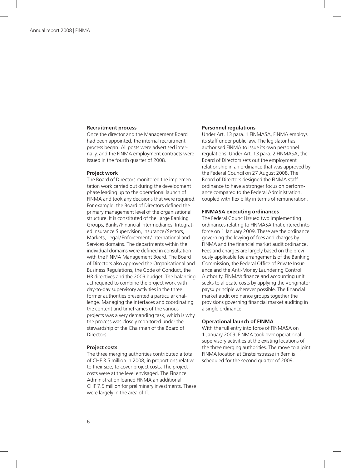#### **Recruitment process**

Once the director and the Management Board had been appointed, the internal recruitment process began. All posts were advertised internally, and the FINMA employment contracts were issued in the fourth quarter of 2008.

#### **Project work**

The Board of Directors monitored the implementation work carried out during the development phase leading up to the operational launch of FINMA and took any decisions that were required. For example, the Board of Directors defined the primary management level of the organisational structure. It is constituted of the Large Banking Groups, Banks / Financial Intermediaries, Integrated Insurance Supervision, Insurance / Sectors, Markets, Legal / Enforcement / International and Services domains. The departments within the individual domains were defined in consultation with the FINMA Management Board. The Board of Directors also approved the Organisational and Business Regulations, the Code of Conduct, the HR directives and the 2009 budget. The balancing act required to combine the project work with day-to-day supervisory activities in the three former authorities presented a particular challenge. Managing the interfaces and coordinating the content and timeframes of the various projects was a very demanding task, which is why the process was closely monitored under the stewardship of the Chairman of the Board of Directors.

#### **Project costs**

The three merging authorities contributed a total of CHF 3.5 million in 2008, in proportions relative to their size, to cover project costs. The project costs were at the level envisaged. The Finance Administration loaned FINMA an additional CHF 7.5 million for preliminary investments. These were largely in the area of IT.

#### **Personnel regulations**

Under Art. 13 para. 1 FINMASA, FINMA employs its staff under public law. The legislator has authorised FINMA to issue its own personnel regulations. Under Art. 13 para. 2 FINMASA, the Board of Directors sets out the employment relationship in an ordinance that was approved by the Federal Council on 27 August 2008. The Board of Directors designed the FINMA staff ordinance to have a stronger focus on performance compared to the Federal Administration, coupled with flexibility in terms of remuneration.

#### **FINMASA executing ordinances**

The Federal Council issued two implementing ordinances relating to FINMASA that entered into force on 1 January 2009. These are the ordinance governing the levying of fees and charges by FINMA and the financial market audit ordinance. Fees and charges are largely based on the previously applicable fee arrangements of the Banking Commission, the Federal Office of Private Insurance and the Anti-Money Laundering Control Authority. FINMA's finance and accounting unit seeks to allocate costs by applying the «originator pays» principle wherever possible. The financial market audit ordinance groups together the provisions governing financial market auditing in a single ordinance.

#### **Operational launch of FINMA**

With the full entry into force of FINMASA on 1 January 2009, FINMA took over operational supervisory activities at the existing locations of the three merging authorities. The move to a joint FINMA location at Einsteinstrasse in Bern is scheduled for the second quarter of 2009.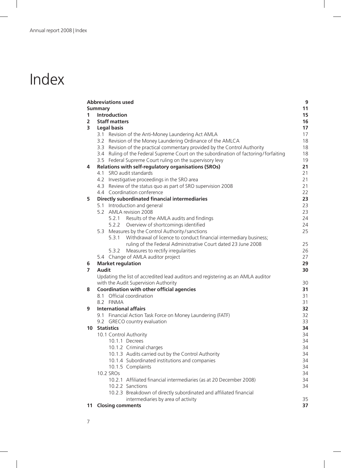# Index

|                 | <b>Abbreviations used</b><br><b>Summary</b>                                             |
|-----------------|-----------------------------------------------------------------------------------------|
| $\mathbf{1}$    | Introduction                                                                            |
| $\overline{2}$  | <b>Staff matters</b>                                                                    |
| 3               | <b>Legal basis</b>                                                                      |
|                 | 3.1 Revision of the Anti-Money Laundering Act AMLA                                      |
|                 | Revision of the Money Laundering Ordinance of the AMLCA<br>3.2                          |
|                 | Revision of the practical commentary provided by the Control Authority<br>3.3           |
|                 | Ruling of the Federal Supreme Court on the subordination of factoring/forfaiting<br>3.4 |
|                 | 3.5 Federal Supreme Court ruling on the supervisory levy                                |
| 4               | Relations with self-regulatory organisations (SROs)                                     |
|                 | 4.1 SRO audit standards                                                                 |
|                 | 4.2 Investigative proceedings in the SRO area                                           |
|                 | 4.3 Review of the status quo as part of SRO supervision 2008                            |
|                 | 4.4 Coordination conference                                                             |
|                 | Directly subordinated financial intermediaries                                          |
| 5               | 5.1 Introduction and general                                                            |
|                 | 5.2 AMLA revision 2008                                                                  |
|                 | 5.2.1 Results of the AMLA audits and findings                                           |
|                 | 5.2.2 Overview of shortcomings identified                                               |
|                 | 5.3 Measures by the Control Authority/sanctions                                         |
|                 | 5.3.1 Withdrawal of licence to conduct financial intermediary business;                 |
|                 | ruling of the Federal Administrative Court dated 23 June 2008                           |
|                 | Measures to rectify irregularities<br>5.3.2                                             |
|                 | 5.4 Change of AMLA auditor project                                                      |
|                 | <b>Market regulation</b>                                                                |
| 6               | <b>Audit</b>                                                                            |
|                 | Updating the list of accredited lead auditors and registering as an AMLA auditor        |
|                 | with the Audit Supervision Authority                                                    |
| 8               | <b>Coordination with other official agencies</b>                                        |
|                 | 8.1 Official coordination                                                               |
|                 | 8.2 FINMA                                                                               |
|                 | <b>International affairs</b>                                                            |
| 9               | 9.1 Financial Action Task Force on Money Laundering (FATF)                              |
|                 | 9.2 GRECO country evaluation                                                            |
| 10 <sup>°</sup> | <b>Statistics</b>                                                                       |
|                 | 10.1 Control Authority                                                                  |
|                 | 10.1.1 Decrees                                                                          |
|                 | 10.1.2 Criminal charges                                                                 |
|                 | 10.1.3 Audits carried out by the Control Authority                                      |
|                 | 10.1.4 Subordinated institutions and companies                                          |
|                 | 10.1.5 Complaints                                                                       |
|                 | 10.2 SROs                                                                               |
|                 | 10.2.1 Affiliated financial intermediaries (as at 20 December 2008)                     |
|                 | 10.2.2 Sanctions                                                                        |
|                 | 10.2.3 Breakdown of directly subordinated and affiliated financial                      |
|                 | intermediaries by area of activity                                                      |
|                 | <b>11 Closing comments</b>                                                              |
|                 |                                                                                         |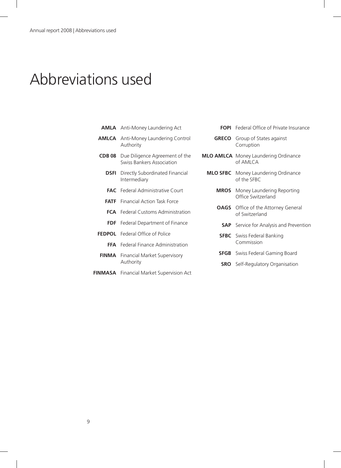### Abbreviations used

| <b>AMLA</b> Anti-Money Laundering Act                                            |              | <b>FOPI</b> Federal Office of Private Insurance              |  |
|----------------------------------------------------------------------------------|--------------|--------------------------------------------------------------|--|
| <b>AMLCA</b> Anti-Money Laundering Control<br>Authority                          | <b>GRECO</b> | Group of States against<br>Corruption                        |  |
| <b>CDB 08</b> Due Diligence Agreement of the<br><b>Swiss Bankers Association</b> |              | <b>MLO AMLCA</b> Money Laundering Ordinance<br>of AMLCA      |  |
| <b>DSFI</b> Directly Subordinated Financial<br>Intermediary                      |              | <b>MLO SFBC</b> Money Laundering Ordinance<br>of the SFBC    |  |
| <b>FAC</b> Federal Administrative Court                                          | <b>MROS</b>  | Money Laundering Reporting                                   |  |
| <b>FATE</b> Financial Action Task Force                                          |              | Office Switzerland                                           |  |
| <b>FCA</b> Federal Customs Administration                                        |              | <b>OAGS</b> Office of the Attorney General<br>of Switzerland |  |
| <b>FDF</b> Federal Department of Finance                                         |              | <b>SAP</b> Service for Analysis and Prevention               |  |
| <b>FEDPOL</b> Federal Office of Police                                           |              | <b>SFBC</b> Swiss Federal Banking                            |  |
| FFA Federal Finance Administration                                               |              | Commission                                                   |  |
| <b>FINMA</b> Financial Market Supervisory                                        |              | <b>SFGB</b> Swiss Federal Gaming Board                       |  |
| Authority                                                                        | <b>SRO</b>   | Self-Regulatory Organisation                                 |  |
| <b>FINMASA</b> Financial Market Supervision Act                                  |              |                                                              |  |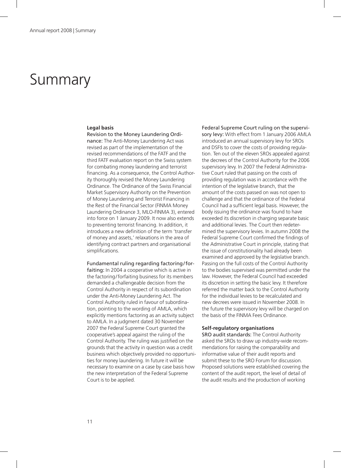### Summary

#### **Legal basis**

Revision to the Money Laundering Ordi-

nance: The Anti-Money Laundering Act was revised as part of the implementation of the revised recommendations of the FATF and the third FATF evaluation report on the Swiss system for combating money laundering and terrorist financing. As a consequence, the Control Authority thoroughly revised the Money Laundering Ordinance. The Ordinance of the Swiss Financial Market Supervisory Authority on the Prevention of Money Laundering and Terrorist Financing in the Rest of the Financial Sector (FINMA Money Laundering Ordinance 3, MLO-FINMA 3), entered into force on 1 January 2009. It now also extends to preventing terrorist financing. In addition, it introduces a new definition of the term 'transfer of money and assets,' relaxations in the area of identifying contract partners and organisational simplifications.

Fundamental ruling regarding factoring / forfaiting: In 2004 a cooperative which is active in the factoring/forfaiting business for its members demanded a challengeable decision from the Control Authority in respect of its subordination under the Anti-Money Laundering Act. The Control Authority ruled in favour of subordination, pointing to the wording of AMLA, which explicitly mentions factoring as an activity subject to AMLA. In a judgment dated 30 November 2007 the Federal Supreme Court granted the cooperative's appeal against the ruling of the Control Authority. The ruling was justified on the grounds that the activity in question was a credit business which objectively provided no opportunities for money laundering. In future it will be necessary to examine on a case by case basis how the new interpretation of the Federal Supreme Court is to be applied.

Federal Supreme Court ruling on the supervisory levy: With effect from 1 January 2006 AMLA introduced an annual supervisory levy for SROs and DSFIs to cover the costs of providing regulation. Ten out of the eleven SROs appealed against the decrees of the Control Authority for the 2006 supervisory levy. In 2007 the Federal Administrative Court ruled that passing on the costs of providing regulation was in accordance with the intention of the legislative branch, that the amount of the costs passed on was not open to challenge and that the ordinance of the Federal Council had a sufficient legal basis. However, the body issuing the ordinance was found to have exceeded its discretion in charging separate basic and additional levies. The Court then redetermined the supervisory levies. In autumn 2008 the Federal Supreme Court confirmed the findings of the Administrative Court in principle, stating that the issue of constitutionality had already been examined and approved by the legislative branch. Passing on the full costs of the Control Authority to the bodies supervised was permitted under the law. However, the Federal Council had exceeded its discretion in setting the basic levy. It therefore referred the matter back to the Control Authority for the individual levies to be recalculated and new decrees were issued in November 2008. In the future the supervisory levy will be charged on the basis of the FINMA Fees Ordinance.

#### **Self-regulatory organisations**

SRO audit standards: The Control Authority asked the SROs to draw up industry-wide recommendations for raising the comparability and informative value of their audit reports and submit these to the SRO Forum for discussion. Proposed solutions were established covering the content of the audit report, the level of detail of the audit results and the production of working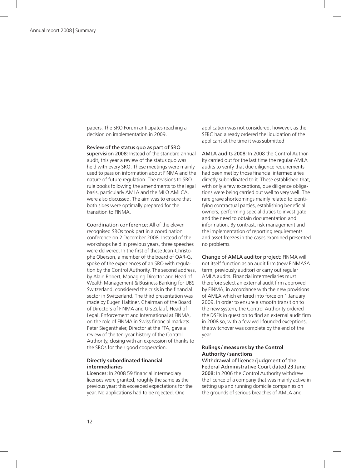papers. The SRO Forum anticipates reaching a decision on implementation in 2009.

Review of the status quo as part of SRO

supervision 2008: Instead of the standard annual audit, this year a review of the status quo was held with every SRO. These meetings were mainly used to pass on information about FINMA and the nature of future regulation. The revisions to SRO rule books following the amendments to the legal basis, particularly AMLA and the MLO AMLCA, were also discussed. The aim was to ensure that both sides were optimally prepared for the transition to FINMA.

Coordination conference: All of the eleven recognised SROs took part in a coordination conference on 2 December 2008. Instead of the workshops held in previous years, three speeches were delivered. In the first of these Jean-Christophe Oberson, a member of the board of OAR-G, spoke of the experiences of an SRO with regulation by the Control Authority. The second address, by Alain Robert, Managing Director and Head of Wealth Management & Business Banking for UBS Switzerland, considered the crisis in the financial sector in Switzerland. The third presentation was made by Eugen Haltiner, Chairman of the Board of Directors of FINMA and Urs Zulauf, Head of Legal, Enforcement and International at FINMA, on the role of FINMA in Swiss financial markets. Peter Siegenthaler, Director at the FFA, gave a review of the ten-year history of the Control Authority, closing with an expression of thanks to the SROs for their good cooperation.

#### **Directly subordinated financial intermediaries**

Licences: In 2008 59 financial intermediary licenses were granted, roughly the same as the previous year; this exceeded expectations for the year. No applications had to be rejected. One

application was not considered, however, as the SFBC had already ordered the liquidation of the applicant at the time it was submitted

AMLA audits 2008: In 2008 the Control Authority carried out for the last time the regular AMLA audits to verify that due diligence requirements had been met by those financial intermediaries directly subordinated to it. These established that, with only a few exceptions, due diligence obligations were being carried out well to very well. The rare grave shortcomings mainly related to identifying contractual parties, establishing beneficial owners, performing special duties to investigate and the need to obtain documentation and information. By contrast, risk management and the implementation of reporting requirements and asset freezes in the cases examined presented no problems.

Change of AMLA auditor project: FINMA will not itself function as an audit firm (new FINMASA term, previously auditor) or carry out regular AMLA audits. Financial intermediaries must therefore select an external audit firm approved by FINMA, in accordance with the new provisions of AMLA which entered into force on 1 January 2009. In order to ensure a smooth transition to the new system, the Control Authority ordered the DSFIs in question to find an external audit firm in 2008 so, with a few well-founded exceptions, the switchover was complete by the end of the year.

#### **Rulings / measures by the Control Authority / sanctions**

Withdrawal of licence / judgment of the Federal Administrative Court dated 23 June 2008: In 2006 the Control Authority withdrew the licence of a company that was mainly active in setting up and running domicile companies on the grounds of serious breaches of AMLA and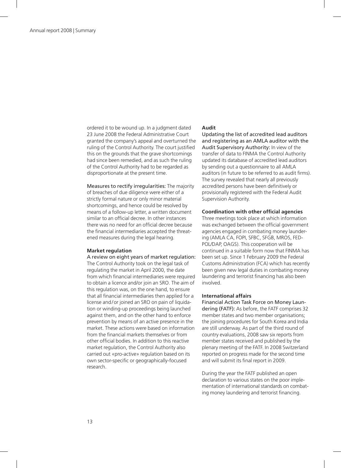ordered it to be wound up. In a judgment dated 23 June 2008 the Federal Administrative Court granted the company's appeal and overturned the ruling of the Control Authority. The court justified this on the grounds that the grave shortcomings had since been remedied, and as such the ruling of the Control Authority had to be regarded as disproportionate at the present time.

Measures to rectify irregularities: The majority of breaches of due diligence were either of a strictly formal nature or only minor material shortcomings, and hence could be resolved by means of a follow-up letter, a written document similar to an official decree. In other instances there was no need for an official decree because the financial intermediaries accepted the threatened measures during the legal hearing.

#### **Market regulation**

#### A review on eight years of market regulation:

The Control Authority took on the legal task of regulating the market in April 2000, the date from which financial intermediaries were required to obtain a licence and/or join an SRO. The aim of this regulation was, on the one hand, to ensure that all financial intermediaries then applied for a license and/or joined an SRO on pain of liquidation or winding-up proceedings being launched against them, and on the other hand to enforce prevention by means of an active presence in the market. These actions were based on information from the financial markets themselves or from other official bodies. In addition to this reactive market regulation, the Control Authority also carried out «pro-active» regulation based on its own sector-specific or geographically-focused research.

#### **Audit**

Updating the list of accredited lead auditors and registering as an AMLA auditor with the Audit Supervisory Authority: In view of the transfer of data to FINMA the Control Authority updated its database of accredited lead auditors by sending out a questionnaire to all AMLA auditors (in future to be referred to as audit firms). The survey revealed that nearly all previously accredited persons have been definitively or provisionally registered with the Federal Audit Supervision Authority.

#### **Coordination with other official agencies**

Three meetings took place at which information was exchanged between the official government agencies engaged in combating money laundering (AMLA CA, FOPI, SFBC, SFGB, MROS, FED-POL/DAP, OAGS). This cooperation will be continued in a suitable form now that FINMA has been set up. Since 1 February 2009 the Federal Customs Administration (FCA) which has recently been given new legal duties in combating money laundering and terrorist financing has also been involved.

#### **International affairs**

Financial Action Task Force on Money Laundering (FATF): As before, the FATF comprises 32 member states and two member organisations; the joining procedures for South Korea and India are still underway. As part of the third round of country evaluations, 2008 saw six reports from member states received and published by the plenary meeting of the FATF. In 2008 Switzerland reported on progress made for the second time and will submit its final report in 2009.

During the year the FATF published an open declaration to various states on the poor implementation of international standards on combating money laundering and terrorist financing.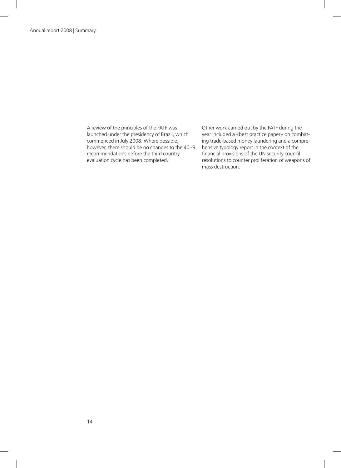A review of the principles of the FATF was launched under the presidency of Brazil, which commenced in July 2008. Where possible, however, there should be no changes to the 40+9 recommendations before the third country evaluation cycle has been completed.

Other work carried out by the FATF during the year included a «best practice paper» on combating trade-based money laundering and a comprehensive typology report in the context of the financial provisions of the UN security council resolutions to counter proliferation of weapons of mass destruction.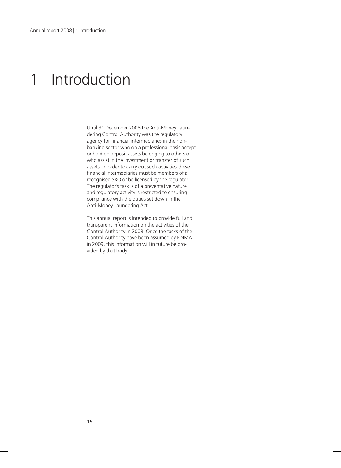### 1 Introduction

Until 31 December 2008 the Anti-Money Laundering Control Authority was the regulatory agency for financial intermediaries in the nonbanking sector who on a professional basis accept or hold on deposit assets belonging to others or who assist in the investment or transfer of such assets. In order to carry out such activities these financial intermediaries must be members of a recognised SRO or be licensed by the regulator. The regulator's task is of a preventative nature and regulatory activity is restricted to ensuring compliance with the duties set down in the Anti-Money Laundering Act.

This annual report is intended to provide full and transparent information on the activities of the Control Authority in 2008. Once the tasks of the Control Authority have been assumed by FINMA in 2009, this information will in future be provided by that body.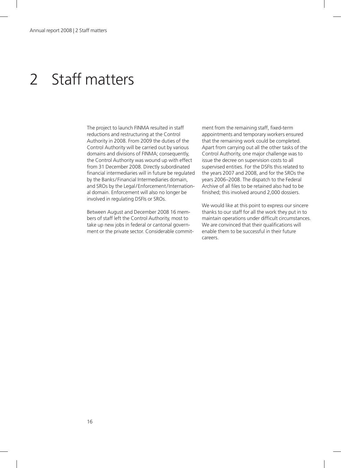### 2 Staff matters

The project to launch FINMA resulted in staff reductions and restructuring at the Control Authority in 2008. From 2009 the duties of the Control Authority will be carried out by various domains and divisions of FINMA; consequently, the Control Authority was wound up with effect from 31 December 2008. Directly subordinated financial intermediaries will in future be regulated by the Banks / Financial Intermediaries domain, and SROs by the Legal / Enforcement / International domain. Enforcement will also no longer be involved in regulating DSFIs or SROs.

Between August and December 2008 16 members of staff left the Control Authority, most to take up new jobs in federal or cantonal government or the private sector. Considerable commitment from the remaining staff, fixed-term appointments and temporary workers ensured that the remaining work could be completed. Apart from carrying out all the other tasks of the Control Authority, one major challenge was to issue the decree on supervision costs to all supervised entities. For the DSFIs this related to the years 2007 and 2008, and for the SROs the years 2006–2008. The dispatch to the Federal Archive of all files to be retained also had to be finished; this involved around 2,000 dossiers.

We would like at this point to express our sincere thanks to our staff for all the work they put in to maintain operations under difficult circumstances. We are convinced that their qualifications will enable them to be successful in their future careers.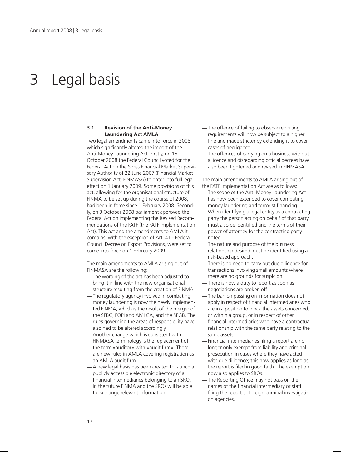### 3 Legal basis

#### **3.1 Revision of the Anti-Money Laundering Act AMLA**

Two legal amendments came into force in 2008 which significantly altered the import of the Anti-Money Laundering Act. Firstly, on 15 October 2008 the Federal Council voted for the Federal Act on the Swiss Financial Market Supervisory Authority of 22 June 2007 (Financial Market Supervision Act, FINMASA) to enter into full legal effect on 1 January 2009. Some provisions of this act, allowing for the organisational structure of FINMA to be set up during the course of 2008, had been in force since 1 February 2008. Secondly, on 3 October 2008 parliament approved the Federal Act on Implementing the Revised Recommendations of the FATF (the FATF Implementation Act). This act and the amendments to AMLA it contains, with the exception of Art. 41 - Federal Council Decree on Export Provisions, were set to come into force on 1 February 2009.

The main amendments to AMLA arising out of FINMASA are the following:

- —The wording of the act has been adjusted to bring it in line with the new organisational structure resulting from the creation of FINMA.
- —The regulatory agency involved in combating money laundering is now the newly implemented FINMA, which is the result of the merger of the SFBC, FOPI and AMLCA, and the SFGB. The rules governing the areas of responsibility have also had to be altered accordingly.
- —Another change which is consistent with FINMASA terminology is the replacement of the term «auditor» with «audit firm». There are new rules in AMLA covering registration as an AMLA audit firm.
- —A new legal basis has been created to launch a publicly accessible electronic directory of all financial intermediaries belonging to an SRO.
- —In the future FINMA and the SROs will be able to exchange relevant information.
- —The offence of failing to observe reporting requirements will now be subject to a higher fine and made stricter by extending it to cover cases of negligence.
- —The offences of carrying on a business without a licence and disregarding official decrees have also been tightened and revised in FINMASA.

The main amendments to AMLA arising out of the FATF Implementation Act are as follows:

- —The scope of the Anti-Money Laundering Act has now been extended to cover combating money laundering and terrorist financing.
- —When identifying a legal entity as a contracting party the person acting on behalf of that party must also be identified and the terms of their power of attorney for the contracting party noted.
- —The nature and purpose of the business relationship desired must be identified using a risk-based approach.
- —There is no need to carry out due diligence for transactions involving small amounts where there are no grounds for suspicion.
- —There is now a duty to report as soon as negotiations are broken off.
- —The ban on passing on information does not apply in respect of financial intermediaries who are in a position to block the assets concerned, or within a group, or in respect of other financial intermediaries who have a contractual relationship with the same party relating to the same assets.
- —Financial intermediaries filing a report are no longer only exempt from liability and criminal prosecution in cases where they have acted with due diligence; this now applies as long as the report is filed in good faith. The exemption now also applies to SROs.
- —The Reporting Office may not pass on the names of the financial intermediary or staff filing the report to foreign criminal investigation agencies.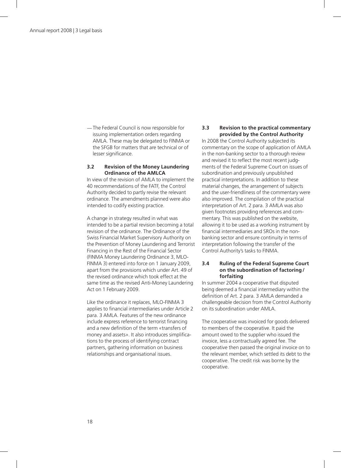—The Federal Council is now responsible for issuing implementation orders regarding AMLA. These may be delegated to FINMA or the SFGB for matters that are technical or of lesser significance.

#### **3.2 Revision of the Money Laundering Ordinance of the AMLCA**

In view of the revision of AMLA to implement the 40 recommendations of the FATF, the Control Authority decided to partly revise the relevant ordinance. The amendments planned were also intended to codify existing practice.

A change in strategy resulted in what was intended to be a partial revision becoming a total revision of the ordinance. The Ordinance of the Swiss Financial Market Supervisory Authority on the Prevention of Money Laundering and Terrorist Financing in the Rest of the Financial Sector (FINMA Money Laundering Ordinance 3, MLO-FINMA 3) entered into force on 1 January 2009, apart from the provisions which under Art. 49 of the revised ordinance which took effect at the same time as the revised Anti-Money Laundering Act on 1 February 2009.

Like the ordinance it replaces, MLO-FINMA 3 applies to financial intermediaries under Article 2 para. 3 AMLA. Features of the new ordinance include express reference to terrorist financing and a new definition of the term «transfers of money and assets». It also introduces simplifications to the process of identifying contract partners, gathering information on business relationships and organisational issues.

#### **3.3 Revision to the practical commentary provided by the Control Authority**

In 2008 the Control Authority subjected its commentary on the scope of application of AMLA in the non-banking sector to a thorough review and revised it to reflect the most recent judgments of the Federal Supreme Court on issues of subordination and previously unpublished practical interpretations. In addition to these material changes, the arrangement of subjects and the user-friendliness of the commentary were also improved. The compilation of the practical interpretation of Art. 2 para. 3 AMLA was also given footnotes providing references and commentary. This was published on the website, allowing it to be used as a working instrument by financial intermediaries and SROs in the nonbanking sector and ensure continuity in terms of interpretation following the transfer of the Control Authority's tasks to FINMA.

#### **3.4 Ruling of the Federal Supreme Court on the subordination of factoring / forfaiting**

In summer 2004 a cooperative that disputed being deemed a financial intermediary within the definition of Art. 2 para. 3 AMLA demanded a challengeable decision from the Control Authority on its subordination under AMLA.

The cooperative was invoiced for goods delivered to members of the cooperative. It paid the amount owed to the supplier who issued the invoice, less a contractually agreed fee. The cooperative then passed the original invoice on to the relevant member, which settled its debt to the cooperative. The credit risk was borne by the cooperative.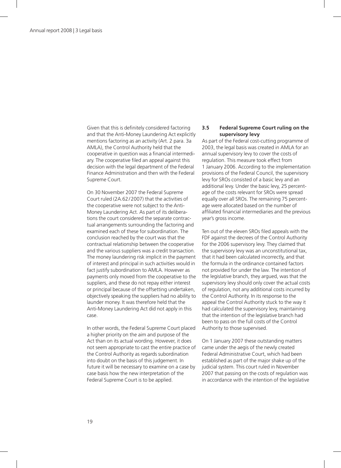Given that this is definitely considered factoring and that the Anti-Money Laundering Act explicitly mentions factoring as an activity (Art. 2 para. 3a AMLA), the Control Authority held that the cooperative in question was a financial intermediary. The cooperative filed an appeal against this decision with the legal department of the Federal Finance Administration and then with the Federal Supreme Court.

On 30 November 2007 the Federal Supreme Court ruled (2A.62 / 2007) that the activities of the cooperative were not subject to the Anti-Money Laundering Act. As part of its deliberations the court considered the separate contractual arrangements surrounding the factoring and examined each of these for subordination. The conclusion reached by the court was that the contractual relationship between the cooperative and the various suppliers was a credit transaction. The money laundering risk implicit in the payment of interest and principal in such activities would in fact justify subordination to AMLA. However as payments only moved from the cooperative to the suppliers, and these do not repay either interest or principal because of the offsetting undertaken, objectively speaking the suppliers had no ability to launder money. It was therefore held that the Anti-Money Laundering Act did not apply in this case.

In other words, the Federal Supreme Court placed a higher priority on the aim and purpose of the Act than on its actual wording. However, it does not seem appropriate to cast the entire practice of the Control Authority as regards subordination into doubt on the basis of this judgement. In future it will be necessary to examine on a case by case basis how the new interpretation of the Federal Supreme Court is to be applied.

#### **3.5 Federal Supreme Court ruling on the supervisory levy**

As part of the Federal cost-cutting programme of 2003, the legal basis was created in AMLA for an annual supervisory levy to cover the costs of regulation. This measure took effect from 1 January 2006. According to the implementation provisions of the Federal Council, the supervisory levy for SROs consisted of a basic levy and an additional levy. Under the basic levy, 25 percentage of the costs relevant for SROs were spread equally over all SROs. The remaining 75 percentage were allocated based on the number of affiliated financial intermediaries and the previous year's gross income.

Ten out of the eleven SROs filed appeals with the FDF against the decrees of the Control Authority for the 2006 supervisory levy. They claimed that the supervisory levy was an unconstitutional tax, that it had been calculated incorrectly, and that the formula in the ordinance contained factors not provided for under the law. The intention of the legislative branch, they argued, was that the supervisory levy should only cover the actual costs of regulation, not any additional costs incurred by the Control Authority. In its response to the appeal the Control Authority stuck to the way it had calculated the supervisory levy, maintaining that the intention of the legislative branch had been to pass on the full costs of the Control Authority to those supervised.

On 1 January 2007 these outstanding matters came under the aegis of the newly created Federal Administrative Court, which had been established as part of the major shake up of the judicial system. This court ruled in November 2007 that passing on the costs of regulation was in accordance with the intention of the legislative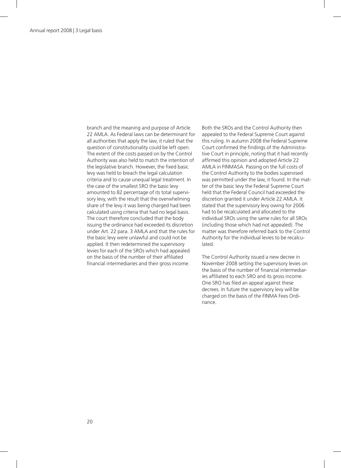branch and the meaning and purpose of Article 22 AMLA. As Federal laws can be determinant for all authorities that apply the law, it ruled that the question of constitutionality could be left open. The extent of the costs passed on by the Control Authority was also held to match the intention of the legislative branch. However, the fixed basic levy was held to breach the legal calculation criteria and to cause unequal legal treatment. In the case of the smallest SRO the basic levy amounted to 82 percentage of its total supervisory levy, with the result that the overwhelming share of the levy it was being charged had been calculated using criteria that had no legal basis. The court therefore concluded that the body issuing the ordinance had exceeded its discretion under Art. 22 para. 3 AMLA and that the rules for the basic levy were unlawful and could not be applied. It then redetermined the supervisory levies for each of the SROs which had appealed on the basis of the number of their affiliated financial intermediaries and their gross income.

Both the SROs and the Control Authority then appealed to the Federal Supreme Court against this ruling. In autumn 2008 the Federal Supreme Court confirmed the findings of the Administrative Court in principle, noting that it had recently affirmed this opinion and adopted Article 22 AMLA in FINMASA. Passing on the full costs of the Control Authority to the bodies supervised was permitted under the law, it found. In the matter of the basic levy the Federal Supreme Court held that the Federal Council had exceeded the discretion granted it under Article 22 AMLA. It stated that the supervisory levy owing for 2006 had to be recalculated and allocated to the individual SROs using the same rules for all SROs (including those which had not appealed). The matter was therefore referred back to the Control Authority for the individual levies to be recalculated.

The Control Authority issued a new decree in November 2008 setting the supervisory levies on the basis of the number of financial intermediaries affiliated to each SRO and its gross income. One SRO has filed an appeal against these decrees. In future the supervisory levy will be charged on the basis of the FINMA Fees Ordinance.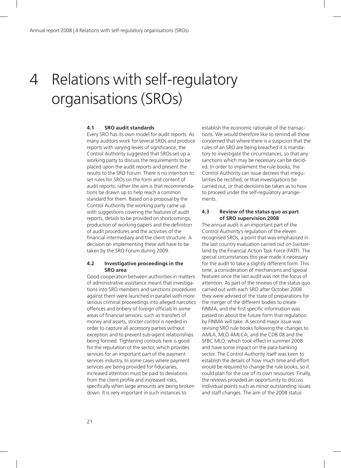# 4 Relations with self-regulatory organisations (SROs)

#### **4.1 SRO audit standards**

Every SRO has its own model for audit reports. As many auditors work for several SROs and produce reports with varying levels of significance, the Control Authority suggested that SROs set up a working party to discuss the requirements to be placed upon the audit reports and present the results to the SRO Forum. There is no intention to set rules for SROs on the form and content of audit reports; rather the aim is that recommendations be drawn up to help reach a common standard for them. Based on a proposal by the Control Authority the working party came up with suggestions covering the features of audit reports, details to be provided on shortcomings, production of working papers and the definition of audit procedures and the activities of the financial intermediary and the client structure. A decision on implementing these will have to be taken by the SRO Forum during 2009.

#### **4.2 Investigative proceedings in the SRO area**

Good cooperation between authorities in matters of administrative assistance meant that investigations into SRO members and sanctions procedures against them were launched in parallel with more serious criminal proceedings into alleged narcotics offences and bribery of foreign officials In some areas of financial services, such as transfers of money and assets, stricter control is needed in order to capture all accessory parties without exception and to prevent sub-agent relationships being formed. Tightening controls here is good for the reputation of the sector, which provides services for an important part of the payment services industry. In some cases where payment services are being provided for fiduciaries, increased attention must be paid to deviations from the client profile and increased risks, specifically when large amounts are being broken down. It is very important in such instances to

establish the economic rationale of the transactions. We would therefore like to remind all those concerned that where there is a suspicion that the rules of an SRO are being breached it is mandatory to investigate the circumstances, so that any sanctions which may be necessary can be decided. In order to implement the rule books, the Control Authority can issue decrees that irregularities be rectified, or that investigations be carried out, or that decisions be taken as to how to proceed under the self-regulatory arrangements.

#### **4.3 Review of the status quo as part of SRO supervision 2008**

The annual audit is an important part of the Control Authority's regulation of the eleven recognised SROs, a point that was emphasised in the last country evaluation carried out on Switzerland by the Financial Action Task Force (FATF). The special circumstances this year made it necessary for the audit to take a slightly different form. This time, a consideration of mechanisms and special features since the last audit was not the focus of attention. As part of the reviews of the status quo carried out with each SRO after October 2008 they were advised of the state of preparations for the merger of the different bodies to create FINMA, and the first specific information was passed on about the future form that regulation by FINMA will take. A second major issue was revising SRO rule books following the changes to AMLA, MLO AMLCA, and the CDB 08 and the SFBC MLO, which took effect in summer 2008 and have some impact on the para-banking sector. The Control Authority itself was keen to establish the details of how much time and effort would be required to change the rule books, so it could plan for the use of its own resources. Finally, the reviews provided an opportunity to discuss individual points such as minor outstanding issues and staff changes. The aim of the 2008 status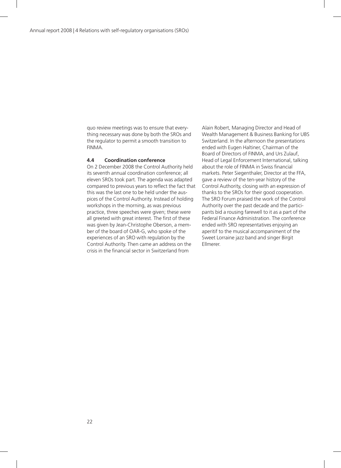quo review meetings was to ensure that everything necessary was done by both the SROs and the regulator to permit a smooth transition to FINMA.

#### **4.4 Coordination conference**

On 2 December 2008 the Control Authority held its seventh annual coordination conference; all eleven SROs took part. The agenda was adapted compared to previous years to reflect the fact that this was the last one to be held under the auspices of the Control Authority. Instead of holding workshops in the morning, as was previous practice, three speeches were given; these were all greeted with great interest. The first of these was given by Jean-Christophe Oberson, a member of the board of OAR-G, who spoke of the experiences of an SRO with regulation by the Control Authority. Then came an address on the crisis in the financial sector in Switzerland from

Alain Robert, Managing Director and Head of Wealth Management & Business Banking for UBS Switzerland. In the afternoon the presentations ended with Eugen Haltiner, Chairman of the Board of Directors of FINMA, and Urs Zulauf, Head of Legal Enforcement International, talking about the role of FINMA in Swiss financial markets. Peter Siegenthaler, Director at the FFA, gave a review of the ten-year history of the Control Authority, closing with an expression of thanks to the SROs for their good cooperation. The SRO Forum praised the work of the Control Authority over the past decade and the participants bid a rousing farewell to it as a part of the Federal Finance Administration. The conference ended with SRO representatives enjoying an aperitif to the musical accompaniment of the Sweet Lorraine jazz band and singer Birgit Ellmerer.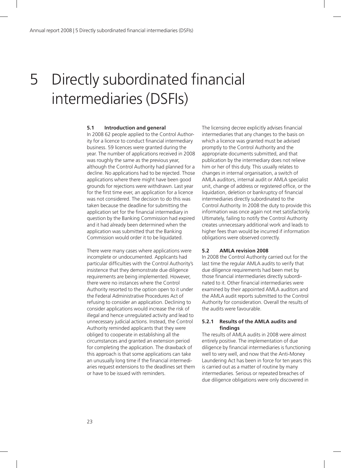# 5 Directly subordinated financial intermediaries (DSFIs)

#### **5.1 Introduction and general**

In 2008 62 people applied to the Control Authority for a licence to conduct financial intermediary business. 59 licences were granted during the year. The number of applications received in 2008 was roughly the same as the previous year, although the Control Authority had planned for a decline. No applications had to be rejected. Those applications where there might have been good grounds for rejections were withdrawn. Last year for the first time ever, an application for a licence was not considered. The decision to do this was taken because the deadline for submitting the application set for the financial intermediary in question by the Banking Commission had expired and it had already been determined when the application was submitted that the Banking Commission would order it to be liquidated.

There were many cases where applications were incomplete or undocumented. Applicants had particular difficulties with the Control Authority's insistence that they demonstrate due diligence requirements are being implemented. However, there were no instances where the Control Authority resorted to the option open to it under the Federal Administrative Procedures Act of refusing to consider an application. Declining to consider applications would increase the risk of illegal and hence unregulated activity and lead to unnecessary judicial actions. Instead, the Control Authority reminded applicants that they were obliged to cooperate in establishing all the circumstances and granted an extension period for completing the application. The drawback of this approach is that some applications can take an unusually long time if the financial intermediaries request extensions to the deadlines set them or have to be issued with reminders.

The licensing decree explicitly advises financial intermediaries that any changes to the basis on which a licence was granted must be advised promptly to the Control Authority and the appropriate documents submitted, and that publication by the intermediary does not relieve him or her of this duty. This usually relates to changes in internal organisation, a switch of AMLA auditors, internal audit or AMLA specialist unit, change of address or registered office, or the liquidation, deletion or bankruptcy of financial intermediaries directly subordinated to the Control Authority. In 2008 the duty to provide this information was once again not met satisfactorily. Ultimately, failing to notify the Control Authority creates unnecessary additional work and leads to higher fees than would be incurred if information obligations were observed correctly.

#### **5.2 AMLA revision 2008**

In 2008 the Control Authority carried out for the last time the regular AMLA audits to verify that due diligence requirements had been met by those financial intermediaries directly subordinated to it. Other financial intermediaries were examined by their appointed AMLA auditors and the AMLA audit reports submitted to the Control Authority for consideration. Overall the results of the audits were favourable.

#### **5.2.1 Results of the AMLA audits and findings**

The results of AMLA audits in 2008 were almost entirely positive. The implementation of due diligence by financial intermediaries is functioning well to very well, and now that the Anti-Money Laundering Act has been in force for ten years this is carried out as a matter of routine by many intermediaries. Serious or repeated breaches of due diligence obligations were only discovered in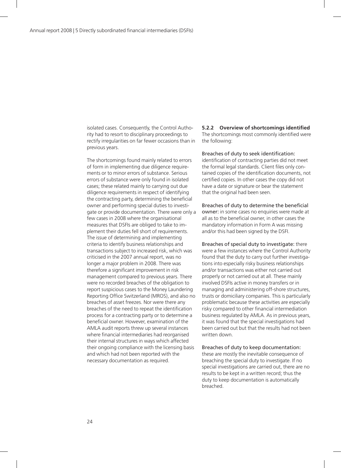isolated cases. Consequently, the Control Authority had to resort to disciplinary proceedings to rectify irregularities on far fewer occasions than in previous years.

The shortcomings found mainly related to errors of form in implementing due diligence requirements or to minor errors of substance. Serious errors of substance were only found in isolated cases; these related mainly to carrying out due diligence requirements in respect of identifying the contracting party, determining the beneficial owner and performing special duties to investigate or provide documentation. There were only a few cases in 2008 where the organisational measures that DSFIs are obliged to take to implement their duties fell short of requirements. The issue of determining and implementing criteria to identify business relationships and transactions subject to increased risk, which was criticised in the 2007 annual report, was no longer a major problem in 2008. There was therefore a significant improvement in risk management compared to previous years. There were no recorded breaches of the obligation to report suspicious cases to the Money Laundering Reporting Office Switzerland (MROS), and also no breaches of asset freezes. Nor were there any breaches of the need to repeat the identification process for a contracting party or to determine a beneficial owner. However, examination of the AMLA audit reports threw up several instances where financial intermediaries had reorganised their internal structures in ways which affected their ongoing compliance with the licensing basis and which had not been reported with the necessary documentation as required.

**5.2.2 Overview of shortcomings identified** The shortcomings most commonly identified were the following:

Breaches of duty to seek identification: identification of contracting parties did not meet the formal legal standards. Client files only contained copies of the identification documents, not certified copies. In other cases the copy did not have a date or signature or bear the statement that the original had been seen.

Breaches of duty to determine the beneficial owner: in some cases no enquiries were made at all as to the beneficial owner, in other cases the mandatory information in Form A was missing and/or this had been signed by the DSFI.

Breaches of special duty to investigate: there were a few instances where the Control Authority found that the duty to carry out further investigations into especially risky business relationships and/or transactions was either not carried out properly or not carried out at all. These mainly involved DSFIs active in money transfers or in managing and administering off-shore structures, trusts or domiciliary companies. This is particularly problematic because these activities are especially risky compared to other financial intermediation business regulated by AMLA. As in previous years, it was found that the special investigations had been carried out but that the results had not been written down.

Breaches of duty to keep documentation: these are mostly the inevitable consequence of breaching the special duty to investigate. If no special investigations are carried out, there are no results to be kept in a written record; thus the duty to keep documentation is automatically breached.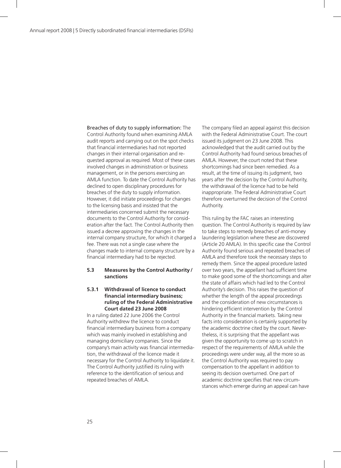Breaches of duty to supply information: The Control Authority found when examining AMLA audit reports and carrying out on the spot checks that financial intermediaries had not reported changes in their internal organisation and requested approval as required. Most of these cases involved changes in administration or business management, or in the persons exercising an AMLA function. To date the Control Authority has declined to open disciplinary procedures for breaches of the duty to supply information. However, it did initiate proceedings for changes to the licensing basis and insisted that the intermediaries concerned submit the necessary documents to the Control Authority for consideration after the fact. The Control Authority then issued a decree approving the changes in the internal company structure, for which it charged a fee. There was not a single case where the changes made to internal company structure by a financial intermediary had to be rejected.

#### **5.3 Measures by the Control Authority / sanctions**

#### **5.3.1 Withdrawal of licence to conduct financial intermediary business; ruling of the Federal Administrative Court dated 23 June 2008**

In a ruling dated 22 June 2006 the Control Authority withdrew the licence to conduct financial intermediary business from a company which was mainly involved in establishing and managing domiciliary companies. Since the company's main activity was financial intermediation, the withdrawal of the licence made it necessary for the Control Authority to liquidate it. The Control Authority justified its ruling with reference to the identification of serious and repeated breaches of AMLA.

The company filed an appeal against this decision with the Federal Administrative Court. The court issued its judgment on 23 June 2008. This acknowledged that the audit carried out by the Control Authority had found serious breaches of AMLA. However, the court noted that these shortcomings had since been remedied. As a result, at the time of issuing its judgment, two years after the decision by the Control Authority, the withdrawal of the licence had to be held inappropriate. The Federal Administrative Court therefore overturned the decision of the Control Authority.

This ruling by the FAC raises an interesting question. The Control Authority is required by law to take steps to remedy breaches of anti-money laundering legislation where these are discovered (Article 20 AMLA). In this specific case the Control Authority found serious and repeated breaches of AMLA and therefore took the necessary steps to remedy them. Since the appeal procedure lasted over two years, the appellant had sufficient time to make good some of the shortcomings and alter the state of affairs which had led to the Control Authority's decision. This raises the question of whether the length of the appeal proceedings and the consideration of new circumstances is hindering efficient intervention by the Control Authority in the financial markets. Taking new facts into consideration is certainly supported by the academic doctrine cited by the court. Nevertheless, it is surprising that the appellant was given the opportunity to come up to scratch in respect of the requirements of AMLA while the proceedings were under way, all the more so as the Control Authority was required to pay compensation to the appellant in addition to seeing its decision overturned. One part of academic doctrine specifies that new circumstances which emerge during an appeal can have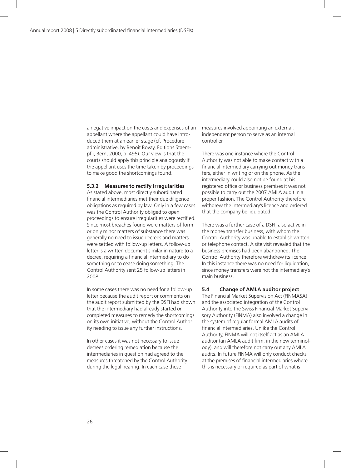a negative impact on the costs and expenses of an appellant where the appellant could have introduced them at an earlier stage (cf. Procédure administrative, by Benoît Bovay, Editions Staempfli, Bern, 2000, p. 495). Our view is that the courts should apply this principle analogously if the appellant uses the time taken by proceedings to make good the shortcomings found.

#### **5.3.2 Measures to rectify irregularities**

As stated above, most directly subordinated financial intermediaries met their due diligence obligations as required by law. Only in a few cases was the Control Authority obliged to open proceedings to ensure irregularities were rectified. Since most breaches found were matters of form or only minor matters of substance there was generally no need to issue decrees and matters were settled with follow-up letters. A follow-up letter is a written document similar in nature to a decree, requiring a financial intermediary to do something or to cease doing something. The Control Authority sent 25 follow-up letters in 2008.

In some cases there was no need for a follow-up letter because the audit report or comments on the audit report submitted by the DSFI had shown that the intermediary had already started or completed measures to remedy the shortcomings on its own initiative, without the Control Authority needing to issue any further instructions.

In other cases it was not necessary to issue decrees ordering remediation because the intermediaries in question had agreed to the measures threatened by the Control Authority during the legal hearing. In each case these

measures involved appointing an external, independent person to serve as an internal controller.

There was one instance where the Control Authority was not able to make contact with a financial intermediary carrying out money transfers, either in writing or on the phone. As the intermediary could also not be found at his registered office or business premises it was not possible to carry out the 2007 AMLA audit in a proper fashion. The Control Authority therefore withdrew the intermediary's licence and ordered that the company be liquidated.

There was a further case of a DSFI, also active in the money transfer business, with whom the Control Authority was unable to establish written or telephone contact. A site visit revealed that the business premises had been abandoned. The Control Authority therefore withdrew its licence. In this instance there was no need for liquidation, since money transfers were not the intermediary's main business.

#### **5.4 Change of AMLA auditor project**

The Financial Market Supervision Act (FINMASA) and the associated integration of the Control Authority into the Swiss Financial Market Supervisory Authority (FINMA) also involved a change in the system of regular formal AMLA audits of financial intermediaries. Unlike the Control Authority, FINMA will not itself act as an AMLA auditor (an AMLA audit firm, in the new terminology), and will therefore not carry out any AMLA audits. In future FINMA will only conduct checks at the premises of financial intermediaries where this is necessary or required as part of what is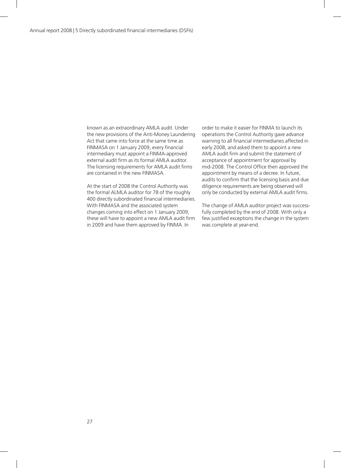known as an extraordinary AMLA audit. Under the new provisions of the Anti-Money Laundering Act that came into force at the same time as FINMASA on 1 January 2009, every financial intermediary must appoint a FINMA-approved external audit firm as its formal AMLA auditor. The licensing requirements for AMLA audit firms are contained in the new FINMASA.

At the start of 2008 the Control Authority was the formal ALMLA auditor for 78 of the roughly 400 directly subordinated financial intermediaries. With FINMASA and the associated system changes coming into effect on 1 January 2009, these will have to appoint a new AMLA audit firm in 2009 and have them approved by FINMA. In

order to make it easier for FINMA to launch its operations the Control Authority gave advance warning to all financial intermediaries affected in early 2008, and asked them to appoint a new AMLA audit firm and submit the statement of acceptance of appointment for approval by mid-2008. The Control Office then approved the appointment by means of a decree. In future, audits to confirm that the licensing basis and due diligence requirements are being observed will only be conducted by external AMLA audit firms.

The change of AMLA auditor project was successfully completed by the end of 2008. With only a few justified exceptions the change in the system was complete at year-end.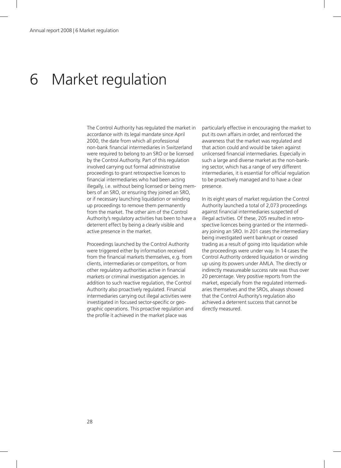### 6 Market regulation

The Control Authority has regulated the market in accordance with its legal mandate since April 2000, the date from which all professional non-bank financial intermediaries in Switzerland were required to belong to an SRO or be licensed by the Control Authority. Part of this regulation involved carrying out formal administrative proceedings to grant retrospective licences to financial intermediaries who had been acting illegally, i.e. without being licensed or being members of an SRO, or ensuring they joined an SRO, or if necessary launching liquidation or winding up proceedings to remove them permanently from the market. The other aim of the Control Authority's regulatory activities has been to have a deterrent effect by being a clearly visible and active presence in the market.

Proceedings launched by the Control Authority were triggered either by information received from the financial markets themselves, e.g. from clients, intermediaries or competitors, or from other regulatory authorities active in financial markets or criminal investigation agencies. In addition to such reactive regulation, the Control Authority also proactively regulated. Financial intermediaries carrying out illegal activities were investigated in focused sector-specific or geographic operations. This proactive regulation and the profile it achieved in the market place was

particularly effective in encouraging the market to put its own affairs in order, and reinforced the awareness that the market was regulated and that action could and would be taken against unlicensed financial intermediaries. Especially in such a large and diverse market as the non-banking sector, which has a range of very different intermediaries, it is essential for official regulation to be proactively managed and to have a clear presence.

In its eight years of market regulation the Control Authority launched a total of 2,073 proceedings against financial intermediaries suspected of illegal activities. Of these, 205 resulted in retrospective licences being granted or the intermediary joining an SRO. In 201 cases the intermediary being investigated went bankrupt or ceased trading as a result of going into liquidation while the proceedings were under way. In 14 cases the Control Authority ordered liquidation or winding up using its powers under AMLA. The directly or indirectly measureable success rate was thus over 20 percentage. Very positive reports from the market, especially from the regulated intermediaries themselves and the SROs, always showed that the Control Authority's regulation also achieved a deterrent success that cannot be directly measured.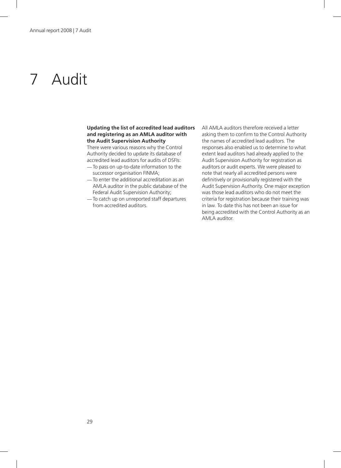# 7 Audit

#### **Updating the list of accredited lead auditors and registering as an AMLA auditor with the Audit Supervision Authority**

There were various reasons why the Control Authority decided to update its database of accredited lead auditors for audits of DSFIs:

- —To pass on up-to-date information to the successor organisation FINMA;
- —To enter the additional accreditation as an AMLA auditor in the public database of the Federal Audit Supervision Authority;
- —To catch up on unreported staff departures from accredited auditors.

All AMLA auditors therefore received a letter asking them to confirm to the Control Authority the names of accredited lead auditors. The responses also enabled us to determine to what extent lead auditors had already applied to the Audit Supervision Authority for registration as auditors or audit experts. We were pleased to note that nearly all accredited persons were definitively or provisionally registered with the Audit Supervision Authority. One major exception was those lead auditors who do not meet the criteria for registration because their training was in law. To date this has not been an issue for being accredited with the Control Authority as an AMLA auditor.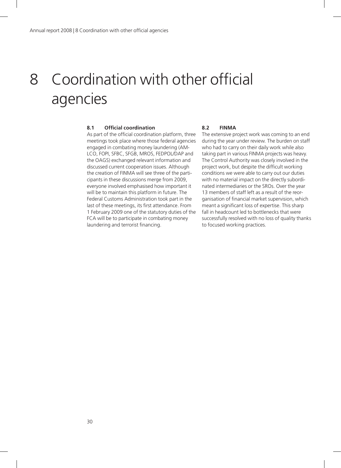### 8 Coordination with other official agencies

#### **8.1 Official coordination**

As part of the official coordination platform, three meetings took place where those federal agencies engaged in combating money laundering (AM-LCO, FOPI, SFBC, SFGB, MROS, FEDPOL/DAP and the OAGS) exchanged relevant information and discussed current cooperation issues. Although the creation of FINMA will see three of the participants in these discussions merge from 2009, everyone involved emphasised how important it will be to maintain this platform in future. The Federal Customs Administration took part in the last of these meetings, its first attendance. From 1 February 2009 one of the statutory duties of the FCA will be to participate in combating money laundering and terrorist financing.

#### **8.2 FINMA**

The extensive project work was coming to an end during the year under review. The burden on staff who had to carry on their daily work while also taking part in various FINMA projects was heavy. The Control Authority was closely involved in the project work, but despite the difficult working conditions we were able to carry out our duties with no material impact on the directly subordinated intermediaries or the SROs. Over the year 13 members of staff left as a result of the reorganisation of financial market supervision, which meant a significant loss of expertise. This sharp fall in headcount led to bottlenecks that were successfully resolved with no loss of quality thanks to focused working practices.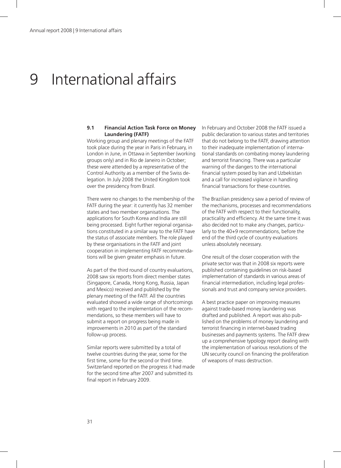### 9 International affairs

#### **9.1 Financial Action Task Force on Money Laundering (FATF)**

Working group and plenary meetings of the FATF took place during the year in Paris in February, in London in June, in Ottawa in September (working groups only) and in Rio de Janeiro in October; these were attended by a representative of the Control Authority as a member of the Swiss delegation. In July 2008 the United Kingdom took over the presidency from Brazil.

There were no changes to the membership of the FATF during the year: it currently has 32 member states and two member organisations. The applications for South Korea and India are still being processed. Eight further regional organisations constituted in a similar way to the FATF have the status of associate members. The role played by these organisations in the FATF and joint cooperation in implementing FATF recommendations will be given greater emphasis in future.

As part of the third round of country evaluations, 2008 saw six reports from direct member states (Singapore, Canada, Hong Kong, Russia, Japan and Mexico) received and published by the plenary meeting of the FATF. All the countries evaluated showed a wide range of shortcomings with regard to the implementation of the recommendations, so these members will have to submit a report on progress being made in improvements in 2010 as part of the standard follow-up process.

Similar reports were submitted by a total of twelve countries during the year, some for the first time, some for the second or third time. Switzerland reported on the progress it had made for the second time after 2007 and submitted its final report in February 2009.

In February and October 2008 the FATF issued a public declaration to various states and territories that do not belong to the FATF, drawing attention to their inadequate implementation of international standards on combating money laundering and terrorist financing. There was a particular warning of the dangers to the international financial system posed by Iran and Uzbekistan and a call for increased vigilance in handling financial transactions for these countries.

The Brazilian presidency saw a period of review of the mechanisms, processes and recommendations of the FATF with respect to their functionality, practicality and efficiency. At the same time it was also decided not to make any changes, particularly to the 40+9 recommendations, before the end of the third cycle of country evaluations unless absolutely necessary.

One result of the closer cooperation with the private sector was that in 2008 six reports were published containing guidelines on risk-based implementation of standards in various areas of financial intermediation, including legal professionals and trust and company service providers.

A best practice paper on improving measures against trade-based money laundering was drafted and published. A report was also published on the problems of money laundering and terrorist financing in internet-based trading businesses and payments systems. The FATF drew up a comprehensive typology report dealing with the implementation of various resolutions of the UN security council on financing the proliferation of weapons of mass destruction.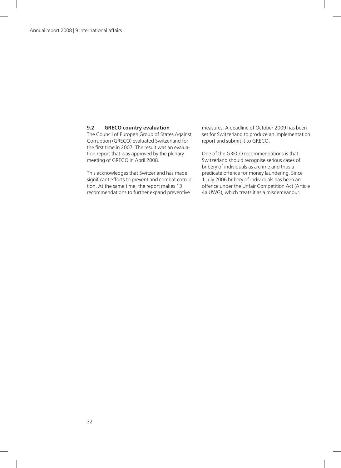#### **9.2 GRECO country evaluation**

The Council of Europe's Group of States Against Corruption (GRECO) evaluated Switzerland for the first time in 2007. The result was an evaluation report that was approved by the plenary meeting of GRECO in April 2008.

This acknowledges that Switzerland has made significant efforts to prevent and combat corruption. At the same time, the report makes 13 recommendations to further expand preventive

measures. A deadline of October 2009 has been set for Switzerland to produce an implementation report and submit it to GRECO.

One of the GRECO recommendations is that Switzerland should recognise serious cases of bribery of individuals as a crime and thus a predicate offence for money laundering. Since 1 July 2006 bribery of individuals has been an offence under the Unfair Competition Act (Article 4a UWG), which treats it as a misdemeanour.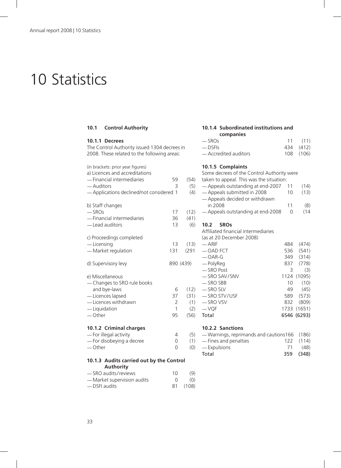### 10 Statistics

#### **10.1 Control Authority**

| 10.1.1 Decrees                                                                                                                                              |                         |                                    |
|-------------------------------------------------------------------------------------------------------------------------------------------------------------|-------------------------|------------------------------------|
| The Control Authority issued 1304 decrees in<br>2008. These related to the following areas:                                                                 |                         |                                    |
| (in brackets: prior year figures)<br>a) Licences and accreditations<br>- Financial intermediaries<br>- Auditors<br>- Applications declined/not considered 1 | 59<br>3                 | (54)<br>(5)<br>(4)                 |
| b) Staff changes<br>$-$ SROs<br>- Financial intermediaries<br>- Lead auditors                                                                               | 17<br>36<br>13          | (12)<br>(41)<br>(6)                |
| c) Proceedings completed<br>- Licensing<br>- Market regulation                                                                                              | 13<br>131               | (13)<br>(291)                      |
| d) Supervisory levy                                                                                                                                         | 890 (439)               |                                    |
| e) Miscellaneous<br>- Changes to SRO rule books<br>and bye-laws<br>- Licences lapsed<br>- Licences withdrawn<br>- Liquidation<br>$-$ Other                  | 6<br>37<br>2<br>1<br>95 | (12)<br>(31)<br>(1)<br>(2)<br>(56) |
| 10.1.2 Criminal charges<br>- For illegal activity<br>- For disobeying a decree<br>— Other                                                                   | 4<br>0<br>0             | (5)<br>(1)<br>(0)                  |

#### **10.1.3 Audits carried out by the Control Authority**

| -SRO audits/reviews         | 10 | (9)      |
|-----------------------------|----|----------|
| - Market supervision audits |    | (O)      |
| — DSFI audits               |    | 81 (108) |

#### **10.1.4 Subordinated institutions and companies**

| — SROs                | 11(11)    |
|-----------------------|-----------|
| — DSFIs               | 434 (412) |
| — Accredited auditors | 108 (106) |

#### **10.1.5 Complaints**

|     | Some decrees of the Control Authority were |     |             |
|-----|--------------------------------------------|-----|-------------|
| 54) | taken to appeal. This was the situation:   |     |             |
| (5) | - Appeals outstanding at end-2007          | 11  | (14)        |
| (4) | - Appeals submitted in 2008                | 10  | (13)        |
|     | - Appeals decided or withdrawn             |     |             |
|     | in 2008                                    | 11  | (8)         |
| 12) | - Appeals outstanding at end-2008          | 0   | (14)        |
| 11) |                                            |     |             |
| (6) | 10.2<br><b>SROs</b>                        |     |             |
|     | Affiliated financial intermediaries        |     |             |
|     | (as at 20 December 2008)                   |     |             |
| 13) | $-$ ARIF                                   | 484 | (474)       |
| 91  | $-$ OAD FCT                                |     | 536 (541)   |
|     | $— OAR-G$                                  | 349 | (314)       |
| I)  | — PolyReg                                  |     | 837 (778)   |
|     | -SRO Post                                  | 3   | (3)         |
|     | -SRO SAV/SNV                               |     | 1124 (1095) |
|     | — SRO SBB                                  | 10  | (10)        |
| 12) | — SRO SLV                                  | 49  | (45)        |
| 31) | -SRO STV/USF                               | 589 | (573)       |
| (1) | — SRO VSV                                  |     | 832 (809)   |
| (2) | $-$ VQF                                    |     | 1733 (1651) |
| 56) | Total                                      |     | 6546 (6293) |
|     |                                            |     |             |
|     | <b>10.2.2 Sanctions</b>                    |     |             |
|     |                                            |     |             |

#### —Warnings, reprimands and cautions 166 (186) —Fines and penalties 122 (114) —Expulsions 71 (48) Total 359 (348)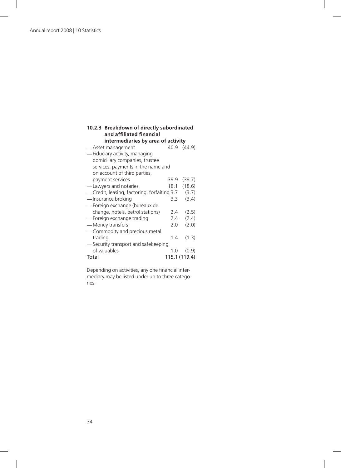#### **10.2.3 Breakdown of directly subordinated and affiliated financial intermediaries by area of activity**

|                                              | 40.9          | (44.9) |
|----------------------------------------------|---------------|--------|
| -Asset management                            |               |        |
| - Fiduciary activity, managing               |               |        |
| domiciliary companies, trustee               |               |        |
| services, payments in the name and           |               |        |
| on account of third parties,                 |               |        |
| payment services                             | 39.9          | (39.7) |
| -Lawyers and notaries                        | 18.1          | (18.6) |
| — Credit, leasing, factoring, forfaiting 3.7 |               | (3.7)  |
| - Insurance broking                          | $3.3^{\circ}$ | (3.4)  |
| — Foreign exchange (bureaux de               |               |        |
| change, hotels, petrol stations)             | 2.4           | (2.5)  |
| - Foreign exchange trading                   | 2.4           | (2.4)  |
| - Money transfers                            | 2.0           | (2.0)  |
| - Commodity and precious metal               |               |        |
| trading                                      | 1.4           | (1.3)  |
| -Security transport and safekeeping          |               |        |
| of valuables                                 | 1.0           | (0.9)  |
| Total                                        | 115.1 (119.4) |        |

Depending on activities, any one financial intermediary may be listed under up to three categories.